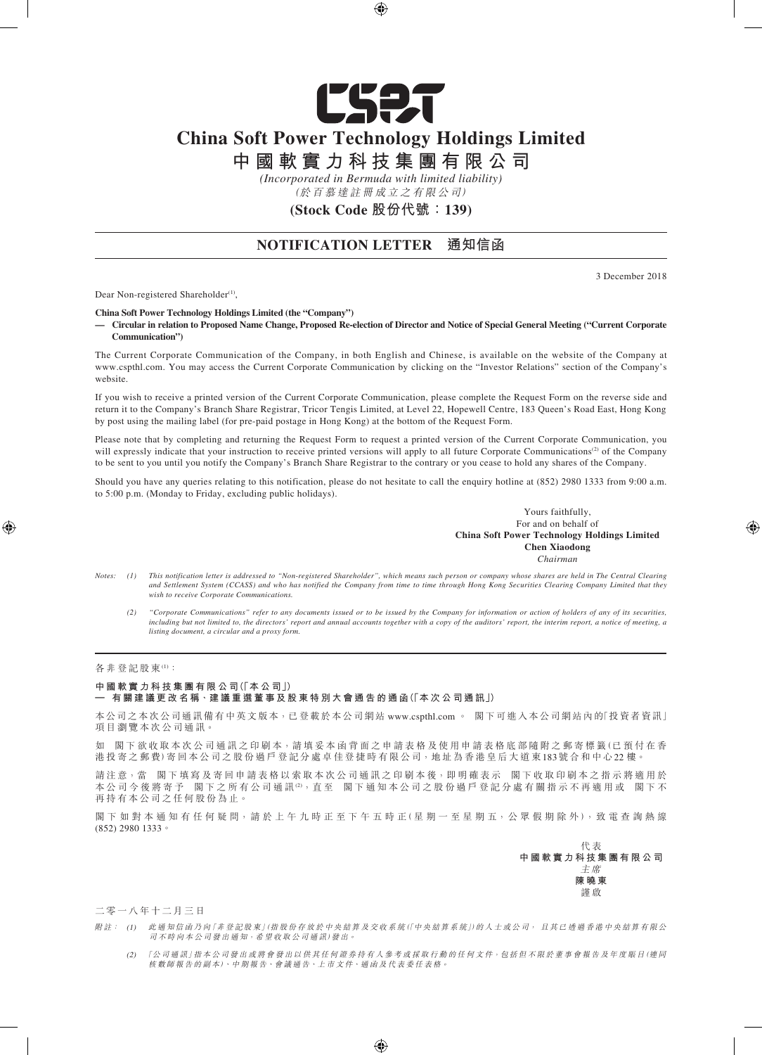

# **China Soft Power Technology Holdings Limited**

**中 國 軟 實 力 科 技 集 團 有 限 公 司**

*(Incorporated in Bermuda with limited liability)*

(於 百 慕 達 註 冊 成 立 之 有 限 公 司)

**(Stock Code 股份代號:139)**

## **NOTIFICATION LETTER 通知信函**

3 December 2018

Dear Non-registered Shareholder<sup>(1)</sup>,

**China Soft Power Technology Holdings Limited (the "Company")**

**— Circular in relation to Proposed Name Change, Proposed Re-election of Director and Notice of Special General Meeting ("Current Corporate Communication")**

The Current Corporate Communication of the Company, in both English and Chinese, is available on the website of the Company at www.cspthl.com. You may access the Current Corporate Communication by clicking on the "Investor Relations" section of the Company's website.

If you wish to receive a printed version of the Current Corporate Communication, please complete the Request Form on the reverse side and return it to the Company's Branch Share Registrar, Tricor Tengis Limited, at Level 22, Hopewell Centre, 183 Queen's Road East, Hong Kong by post using the mailing label (for pre-paid postage in Hong Kong) at the bottom of the Request Form.

Please note that by completing and returning the Request Form to request a printed version of the Current Corporate Communication, you will expressly indicate that your instruction to receive printed versions will apply to all future Corporate Communications<sup>(2)</sup> of the Company to be sent to you until you notify the Company's Branch Share Registrar to the contrary or you cease to hold any shares of the Company.

Should you have any queries relating to this notification, please do not hesitate to call the enquiry hotline at  $(852)$  2980 1333 from 9:00 a.m. to 5:00 p.m. (Monday to Friday, excluding public holidays).

> Yours faithfully, For and on behalf of **China Soft Power Technology Holdings Limited Chen Xiaodong** *Chairman*

- *Notes: (1) This notification letter is addressed to "Non-registered Shareholder", which means such person or company whose shares are held in The Central Clearing and Settlement System (CCASS) and who has notified the Company from time to time through Hong Kong Securities Clearing Company Limited that they wish to receive Corporate Communications.*
	- *(2) "Corporate Communications" refer to any documents issued or to be issued by the Company for information or action of holders of any of its securities, including but not limited to, the directors' report and annual accounts together with a copy of the auditors' report, the interim report, a notice of meeting, a listing document, a circular and a proxy form.*

#### 各 非 登 記 股 東 ⑴:

#### **中 國 軟 實 力 科 技 集 團 有 限 公 司(「本 公 司」)**

一 有關建議更改名稱 · 建議重選董事及股東特別大會通告的通函(「本次公司通訊」)

本公司之本次公司通訊備有中英文版本,已登載於本公司網站 www.cspthl.com 。 閣下可進入本公司網站內的「投資者資訊」 項目瀏覽本次公司通訊。

如 閣下欲收取本次公司通訊之印刷本,請填妥本函背面之申請表格及使用申請表格底部隨附之郵寄標籤(已預付在香 港投寄之郵費)寄回本公司之股份過戶登記分處卓佳登捷時有限公司,地址為香港皇后大道東183號合和中心22樓。

請注意,當 閣下填寫及寄回申請表格以索取本次公司通訊之印刷本後,即明確表示 閣下收取印刷本之指示將適用於 本 公 司 今 後 將 寄 予 閣 下 之 所 有 公 司 通 訊 <sup>② ,</sup>直 至 閣 下 通 知 本 公 司 之 股 份 過 戶 登 記 分 處 有 關 指 示 不 再 適 用 或 閣 下 不 再 持 有 本 公 司 之 任 何 股 份 為 止。

閣下 如 對 本 通 知 有 任 何 疑 問,請 於 上 午 九 時 正 至 下 午 五 時 正 (星 期 一 至 星 期 五,公 眾 假 期 除 外 ), 致 電 查 詢 熱 線 (852) 2980 1333。

> 代 表 **中 國 軟 實 力 科 技 集 團 有 限 公 司** 主 席 **陳 曉 東** 謹 啟

二零一八年十二月三日

- 附註: (1) 此 通 知 信 函 乃 向 「非 登 記 股 東」(指 股 份 存 放 於 中 央 結 算 及 交 收 系 統 (「中 央 結 算 系 統 」)的 人 士 或 公 司, 且 其 已 透 過 香 港 中 央 結 算 有 限 公 司不時向本公司發出通知,希望收取公司通訊)發出。
	- (2) 「公 司通訊」指本公司發出或將會發出以供其任何證券持有人參考或採取行動的任何文件,包括但不限於董事會報告及年度賬目(連同 核數師報告的副本)、中期報告、會議通告、上市文件、通函及代表委任表格。